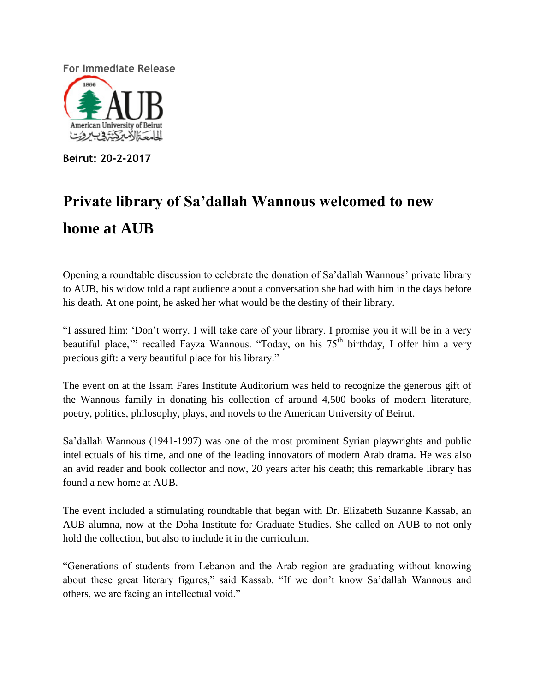**For Immediate Release** American University of Beirut المحت الاسكتروب روت

**Beirut: 20-2-2017**

# **Private library of Sa'dallah Wannous welcomed to new home at AUB**

Opening a roundtable discussion to celebrate the donation of Sa'dallah Wannous' private library to AUB, his widow told a rapt audience about a conversation she had with him in the days before his death. At one point, he asked her what would be the destiny of their library.

"I assured him: 'Don't worry. I will take care of your library. I promise you it will be in a very beautiful place," recalled Fayza Wannous. "Today, on his  $75<sup>th</sup>$  birthday, I offer him a very precious gift: a very beautiful place for his library."

The event on at the Issam Fares Institute Auditorium was held to recognize the generous gift of the Wannous family in donating his collection of around 4,500 books of modern literature, poetry, politics, philosophy, plays, and novels to the American University of Beirut.

Sa'dallah Wannous (1941-1997) was one of the most prominent Syrian playwrights and public intellectuals of his time, and one of the leading innovators of modern Arab drama. He was also an avid reader and book collector and now, 20 years after his death; this remarkable library has found a new home at AUB.

The event included a stimulating roundtable that began with Dr. Elizabeth Suzanne Kassab, an AUB alumna, now at the Doha Institute for Graduate Studies. She called on AUB to not only hold the collection, but also to include it in the curriculum.

"Generations of students from Lebanon and the Arab region are graduating without knowing about these great literary figures," said Kassab. "If we don't know Sa'dallah Wannous and others, we are facing an intellectual void."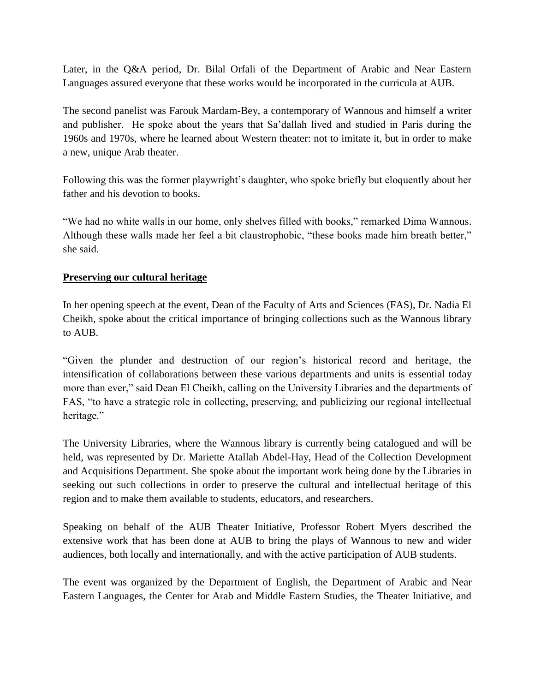Later, in the Q&A period, Dr. Bilal Orfali of the Department of Arabic and Near Eastern Languages assured everyone that these works would be incorporated in the curricula at AUB.

The second panelist was Farouk Mardam-Bey, a contemporary of Wannous and himself a writer and publisher. He spoke about the years that Sa'dallah lived and studied in Paris during the 1960s and 1970s, where he learned about Western theater: not to imitate it, but in order to make a new, unique Arab theater.

Following this was the former playwright's daughter, who spoke briefly but eloquently about her father and his devotion to books.

"We had no white walls in our home, only shelves filled with books," remarked Dima Wannous. Although these walls made her feel a bit claustrophobic, "these books made him breath better," she said.

## **Preserving our cultural heritage**

In her opening speech at the event, Dean of the Faculty of Arts and Sciences (FAS), Dr. Nadia El Cheikh, spoke about the critical importance of bringing collections such as the Wannous library to AUB.

"Given the plunder and destruction of our region's historical record and heritage, the intensification of collaborations between these various departments and units is essential today more than ever," said Dean El Cheikh, calling on the University Libraries and the departments of FAS, "to have a strategic role in collecting, preserving, and publicizing our regional intellectual heritage."

The University Libraries, where the Wannous library is currently being catalogued and will be held, was represented by Dr. Mariette Atallah Abdel-Hay, Head of the Collection Development and Acquisitions Department. She spoke about the important work being done by the Libraries in seeking out such collections in order to preserve the cultural and intellectual heritage of this region and to make them available to students, educators, and researchers.

Speaking on behalf of the AUB Theater Initiative, Professor Robert Myers described the extensive work that has been done at AUB to bring the plays of Wannous to new and wider audiences, both locally and internationally, and with the active participation of AUB students.

The event was organized by the Department of English, the Department of Arabic and Near Eastern Languages, the Center for Arab and Middle Eastern Studies, the Theater Initiative, and